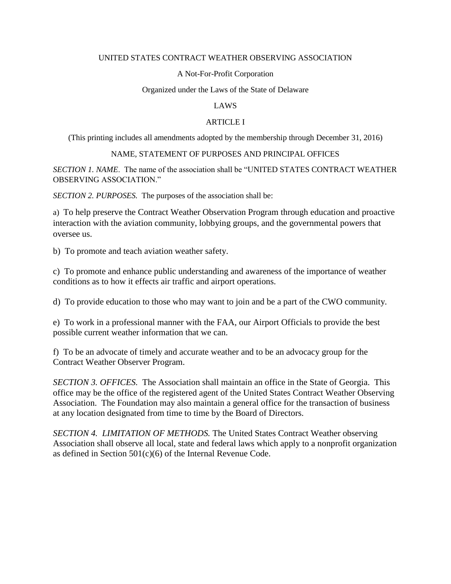#### UNITED STATES CONTRACT WEATHER OBSERVING ASSOCIATION

#### A Not-For-Profit Corporation

#### Organized under the Laws of the State of Delaware

#### LAWS

#### ARTICLE I

(This printing includes all amendments adopted by the membership through December 31, 2016)

#### NAME, STATEMENT OF PURPOSES AND PRINCIPAL OFFICES

*SECTION 1. NAME*. The name of the association shall be "UNITED STATES CONTRACT WEATHER OBSERVING ASSOCIATION."

*SECTION 2. PURPOSES.* The purposes of the association shall be:

a) To help preserve the Contract Weather Observation Program through education and proactive interaction with the aviation community, lobbying groups, and the governmental powers that oversee us.

b) To promote and teach aviation weather safety.

c) To promote and enhance public understanding and awareness of the importance of weather conditions as to how it effects air traffic and airport operations.

d) To provide education to those who may want to join and be a part of the CWO community.

e) To work in a professional manner with the FAA, our Airport Officials to provide the best possible current weather information that we can.

f) To be an advocate of timely and accurate weather and to be an advocacy group for the Contract Weather Observer Program.

*SECTION 3. OFFICES.* The Association shall maintain an office in the State of Georgia. This office may be the office of the registered agent of the United States Contract Weather Observing Association. The Foundation may also maintain a general office for the transaction of business at any location designated from time to time by the Board of Directors.

*SECTION 4. LIMITATION OF METHODS.* The United States Contract Weather observing Association shall observe all local, state and federal laws which apply to a nonprofit organization as defined in Section  $501(c)(6)$  of the Internal Revenue Code.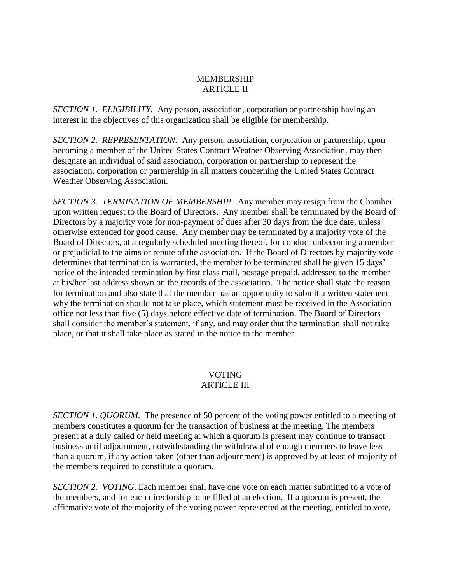# MEMBERSHIP ARTICLE II

*SECTION 1. ELIGIBILITY.* Any person, association, corporation or partnership having an interest in the objectives of this organization shall be eligible for membership.

*SECTION 2. REPRESENTATION.* Any person, association, corporation or partnership, upon becoming a member of the United States Contract Weather Observing Association, may then designate an individual of said association, corporation or partnership to represent the association, corporation or partnership in all matters concerning the United States Contract Weather Observing Association.

*SECTION 3. TERMINATION OF MEMBERSHIP.* Any member may resign from the Chamber upon written request to the Board of Directors. Any member shall be terminated by the Board of Directors by a majority vote for non-payment of dues after 30 days from the due date, unless otherwise extended for good cause. Any member may be terminated by a majority vote of the Board of Directors, at a regularly scheduled meeting thereof, for conduct unbecoming a member or prejudicial to the aims or repute of the association. If the Board of Directors by majority vote determines that termination is warranted, the member to be terminated shall be given 15 days' notice of the intended termination by first class mail, postage prepaid, addressed to the member at his/her last address shown on the records of the association. The notice shall state the reason for termination and also state that the member has an opportunity to submit a written statement why the termination should not take place, which statement must be received in the Association office not less than five (5) days before effective date of termination. The Board of Directors shall consider the member's statement, if any, and may order that the termination shall not take place, or that it shall take place as stated in the notice to the member.

# VOTING ARTICLE III

*SECTION 1. QUORUM.* The presence of 50 percent of the voting power entitled to a meeting of members constitutes a quorum for the transaction of business at the meeting. The members present at a duly called or held meeting at which a quorum is present may continue to transact business until adjournment, notwithstanding the withdrawal of enough members to leave less than a quorum, if any action taken (other than adjournment) is approved by at least of majority of the members required to constitute a quorum.

*SECTION 2. VOTING*. Each member shall have one vote on each matter submitted to a vote of the members, and for each directorship to be filled at an election. If a quorum is present, the affirmative vote of the majority of the voting power represented at the meeting, entitled to vote,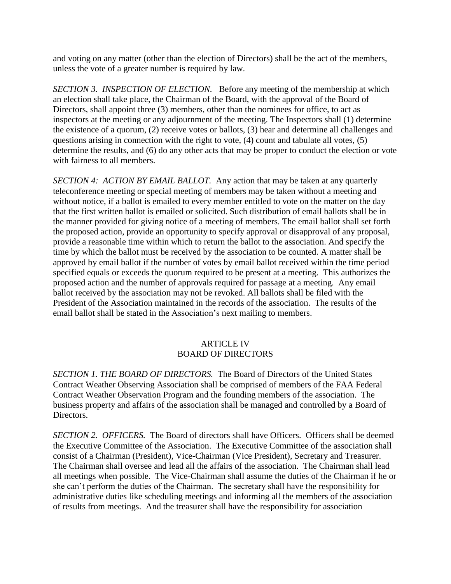and voting on any matter (other than the election of Directors) shall be the act of the members, unless the vote of a greater number is required by law.

*SECTION 3. INSPECTION OF ELECTION.* Before any meeting of the membership at which an election shall take place, the Chairman of the Board, with the approval of the Board of Directors, shall appoint three (3) members, other than the nominees for office, to act as inspectors at the meeting or any adjournment of the meeting. The Inspectors shall (1) determine the existence of a quorum, (2) receive votes or ballots, (3) hear and determine all challenges and questions arising in connection with the right to vote, (4) count and tabulate all votes, (5) determine the results, and (6) do any other acts that may be proper to conduct the election or vote with fairness to all members.

*SECTION 4: ACTION BY EMAIL BALLOT.* Any action that may be taken at any quarterly teleconference meeting or special meeting of members may be taken without a meeting and without notice, if a ballot is emailed to every member entitled to vote on the matter on the day that the first written ballot is emailed or solicited. Such distribution of email ballots shall be in the manner provided for giving notice of a meeting of members. The email ballot shall set forth the proposed action, provide an opportunity to specify approval or disapproval of any proposal, provide a reasonable time within which to return the ballot to the association. And specify the time by which the ballot must be received by the association to be counted. A matter shall be approved by email ballot if the number of votes by email ballot received within the time period specified equals or exceeds the quorum required to be present at a meeting. This authorizes the proposed action and the number of approvals required for passage at a meeting. Any email ballot received by the association may not be revoked. All ballots shall be filed with the President of the Association maintained in the records of the association. The results of the email ballot shall be stated in the Association's next mailing to members.

# ARTICLE IV BOARD OF DIRECTORS

*SECTION 1. THE BOARD OF DIRECTORS.* The Board of Directors of the United States Contract Weather Observing Association shall be comprised of members of the FAA Federal Contract Weather Observation Program and the founding members of the association. The business property and affairs of the association shall be managed and controlled by a Board of Directors.

*SECTION 2. OFFICERS.* The Board of directors shall have Officers. Officers shall be deemed the Executive Committee of the Association. The Executive Committee of the association shall consist of a Chairman (President), Vice-Chairman (Vice President), Secretary and Treasurer. The Chairman shall oversee and lead all the affairs of the association. The Chairman shall lead all meetings when possible. The Vice-Chairman shall assume the duties of the Chairman if he or she can't perform the duties of the Chairman. The secretary shall have the responsibility for administrative duties like scheduling meetings and informing all the members of the association of results from meetings. And the treasurer shall have the responsibility for association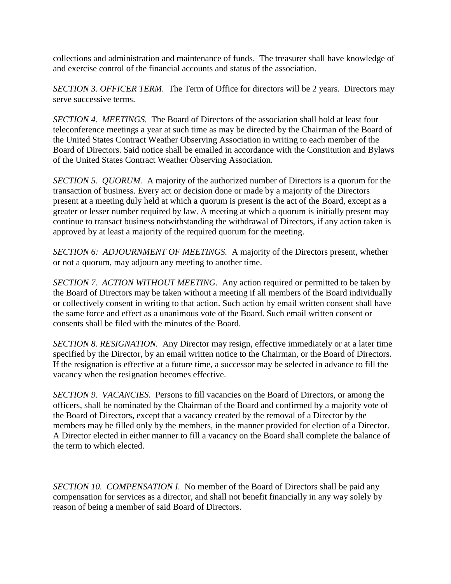collections and administration and maintenance of funds. The treasurer shall have knowledge of and exercise control of the financial accounts and status of the association.

*SECTION 3. OFFICER TERM.* The Term of Office for directors will be 2 years. Directors may serve successive terms.

*SECTION 4. MEETINGS.* The Board of Directors of the association shall hold at least four teleconference meetings a year at such time as may be directed by the Chairman of the Board of the United States Contract Weather Observing Association in writing to each member of the Board of Directors. Said notice shall be emailed in accordance with the Constitution and Bylaws of the United States Contract Weather Observing Association.

*SECTION 5. QUORUM.* A majority of the authorized number of Directors is a quorum for the transaction of business. Every act or decision done or made by a majority of the Directors present at a meeting duly held at which a quorum is present is the act of the Board, except as a greater or lesser number required by law. A meeting at which a quorum is initially present may continue to transact business notwithstanding the withdrawal of Directors, if any action taken is approved by at least a majority of the required quorum for the meeting.

*SECTION 6: ADJOURNMENT OF MEETINGS.* A majority of the Directors present, whether or not a quorum, may adjourn any meeting to another time.

*SECTION 7. ACTION WITHOUT MEETING.* Any action required or permitted to be taken by the Board of Directors may be taken without a meeting if all members of the Board individually or collectively consent in writing to that action. Such action by email written consent shall have the same force and effect as a unanimous vote of the Board. Such email written consent or consents shall be filed with the minutes of the Board.

*SECTION 8. RESIGNATION.* Any Director may resign, effective immediately or at a later time specified by the Director, by an email written notice to the Chairman, or the Board of Directors. If the resignation is effective at a future time, a successor may be selected in advance to fill the vacancy when the resignation becomes effective.

*SECTION 9. VACANCIES.* Persons to fill vacancies on the Board of Directors, or among the officers, shall be nominated by the Chairman of the Board and confirmed by a majority vote of the Board of Directors, except that a vacancy created by the removal of a Director by the members may be filled only by the members, in the manner provided for election of a Director. A Director elected in either manner to fill a vacancy on the Board shall complete the balance of the term to which elected.

*SECTION 10. COMPENSATION I.* No member of the Board of Directors shall be paid any compensation for services as a director, and shall not benefit financially in any way solely by reason of being a member of said Board of Directors.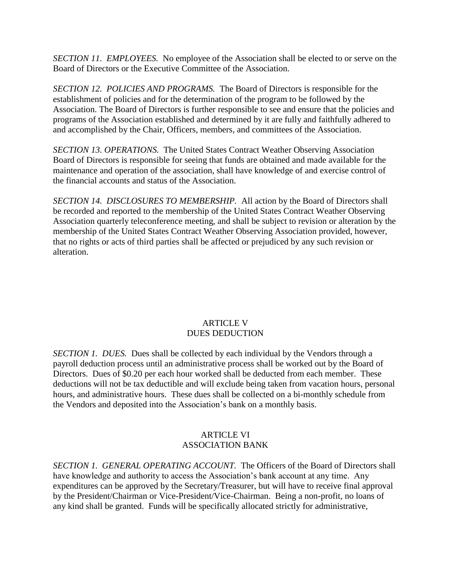*SECTION 11. EMPLOYEES.* No employee of the Association shall be elected to or serve on the Board of Directors or the Executive Committee of the Association.

*SECTION 12. POLICIES AND PROGRAMS.* The Board of Directors is responsible for the establishment of policies and for the determination of the program to be followed by the Association. The Board of Directors is further responsible to see and ensure that the policies and programs of the Association established and determined by it are fully and faithfully adhered to and accomplished by the Chair, Officers, members, and committees of the Association.

*SECTION 13. OPERATIONS.* The United States Contract Weather Observing Association Board of Directors is responsible for seeing that funds are obtained and made available for the maintenance and operation of the association, shall have knowledge of and exercise control of the financial accounts and status of the Association.

*SECTION 14. DISCLOSURES TO MEMBERSHIP.* All action by the Board of Directors shall be recorded and reported to the membership of the United States Contract Weather Observing Association quarterly teleconference meeting, and shall be subject to revision or alteration by the membership of the United States Contract Weather Observing Association provided, however, that no rights or acts of third parties shall be affected or prejudiced by any such revision or alteration.

# ARTICLE V DUES DEDUCTION

*SECTION 1. DUES.* Dues shall be collected by each individual by the Vendors through a payroll deduction process until an administrative process shall be worked out by the Board of Directors. Dues of \$0.20 per each hour worked shall be deducted from each member. These deductions will not be tax deductible and will exclude being taken from vacation hours, personal hours, and administrative hours. These dues shall be collected on a bi-monthly schedule from the Vendors and deposited into the Association's bank on a monthly basis.

### ARTICLE VI ASSOCIATION BANK

*SECTION 1. GENERAL OPERATING ACCOUNT.* The Officers of the Board of Directors shall have knowledge and authority to access the Association's bank account at any time. Any expenditures can be approved by the Secretary/Treasurer, but will have to receive final approval by the President/Chairman or Vice-President/Vice-Chairman. Being a non-profit, no loans of any kind shall be granted. Funds will be specifically allocated strictly for administrative,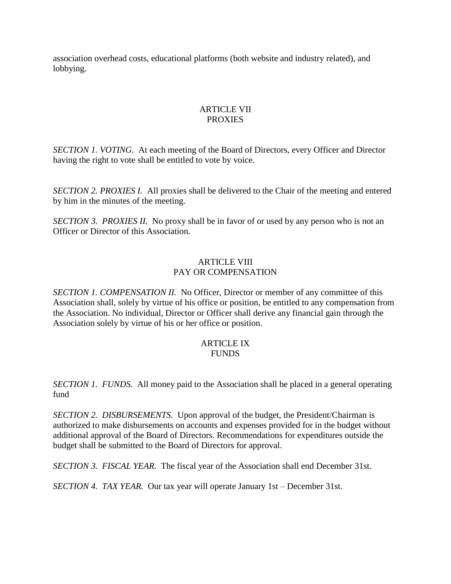association overhead costs, educational platforms (both website and industry related), and lobbying.

### ARTICLE VII PROXIES

*SECTION 1. VOTING.* At each meeting of the Board of Directors, every Officer and Director having the right to vote shall be entitled to vote by voice.

*SECTION 2. PROXIES I.* All proxies shall be delivered to the Chair of the meeting and entered by him in the minutes of the meeting.

*SECTION 3. PROXIES II.* No proxy shall be in favor of or used by any person who is not an Officer or Director of this Association.

### ARTICLE VIII PAY OR COMPENSATION

*SECTION 1. COMPENSATION II.* No Officer, Director or member of any committee of this Association shall, solely by virtue of his office or position, be entitled to any compensation from the Association. No individual, Director or Officer shall derive any financial gain through the Association solely by virtue of his or her office or position.

# ARTICLE IX FUNDS

*SECTION 1. FUNDS.* All money paid to the Association shall be placed in a general operating fund

*SECTION 2. DISBURSEMENTS.* Upon approval of the budget, the President/Chairman is authorized to make disbursements on accounts and expenses provided for in the budget without additional approval of the Board of Directors. Recommendations for expenditures outside the budget shall be submitted to the Board of Directors for approval.

*SECTION 3. FISCAL YEAR.* The fiscal year of the Association shall end December 31st.

*SECTION 4. TAX YEAR.* Our tax year will operate January 1st – December 31st.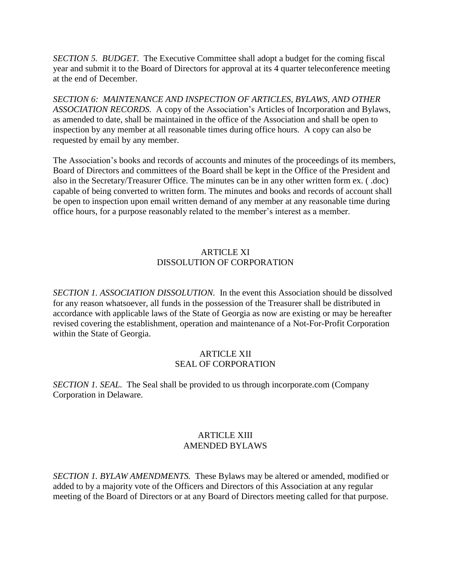*SECTION 5. BUDGET.* The Executive Committee shall adopt a budget for the coming fiscal year and submit it to the Board of Directors for approval at its 4 quarter teleconference meeting at the end of December.

*SECTION 6: MAINTENANCE AND INSPECTION OF ARTICLES, BYLAWS, AND OTHER ASSOCIATION RECORDS.* A copy of the Association's Articles of Incorporation and Bylaws, as amended to date, shall be maintained in the office of the Association and shall be open to inspection by any member at all reasonable times during office hours. A copy can also be requested by email by any member.

The Association's books and records of accounts and minutes of the proceedings of its members, Board of Directors and committees of the Board shall be kept in the Office of the President and also in the Secretary/Treasurer Office. The minutes can be in any other written form ex. ( .doc) capable of being converted to written form. The minutes and books and records of account shall be open to inspection upon email written demand of any member at any reasonable time during office hours, for a purpose reasonably related to the member's interest as a member.

# ARTICLE XI DISSOLUTION OF CORPORATION

*SECTION 1. ASSOCIATION DISSOLUTION.* In the event this Association should be dissolved for any reason whatsoever, all funds in the possession of the Treasurer shall be distributed in accordance with applicable laws of the State of Georgia as now are existing or may be hereafter revised covering the establishment, operation and maintenance of a Not-For-Profit Corporation within the State of Georgia.

### ARTICLE XII SEAL OF CORPORATION

*SECTION 1. SEAL.* The Seal shall be provided to us through incorporate.com (Company Corporation in Delaware.

# ARTICLE XIII AMENDED BYLAWS

*SECTION 1. BYLAW AMENDMENTS.* These Bylaws may be altered or amended, modified or added to by a majority vote of the Officers and Directors of this Association at any regular meeting of the Board of Directors or at any Board of Directors meeting called for that purpose.